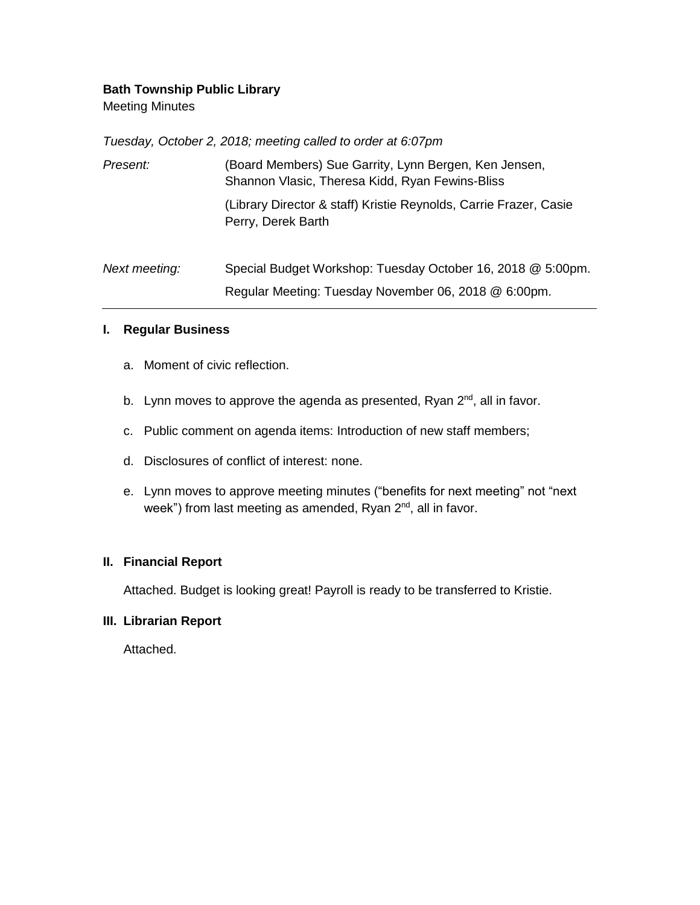## **Bath Township Public Library**

Meeting Minutes

*Tuesday, October 2, 2018; meeting called to order at 6:07pm*

| Present:      | (Board Members) Sue Garrity, Lynn Bergen, Ken Jensen,<br>Shannon Vlasic, Theresa Kidd, Ryan Fewins-Bliss |
|---------------|----------------------------------------------------------------------------------------------------------|
|               | (Library Director & staff) Kristie Reynolds, Carrie Frazer, Casie<br>Perry, Derek Barth                  |
| Next meeting: | Special Budget Workshop: Tuesday October 16, 2018 @ 5:00pm.                                              |
|               | Regular Meeting: Tuesday November 06, 2018 @ 6:00pm.                                                     |

## **I. Regular Business**

- a. Moment of civic reflection.
- b. Lynn moves to approve the agenda as presented, Ryan 2<sup>nd</sup>, all in favor.
- c. Public comment on agenda items: Introduction of new staff members;
- d. Disclosures of conflict of interest: none.
- e. Lynn moves to approve meeting minutes ("benefits for next meeting" not "next week") from last meeting as amended, Ryan 2<sup>nd</sup>, all in favor.

# **II. Financial Report**

Attached. Budget is looking great! Payroll is ready to be transferred to Kristie.

#### **III. Librarian Report**

Attached.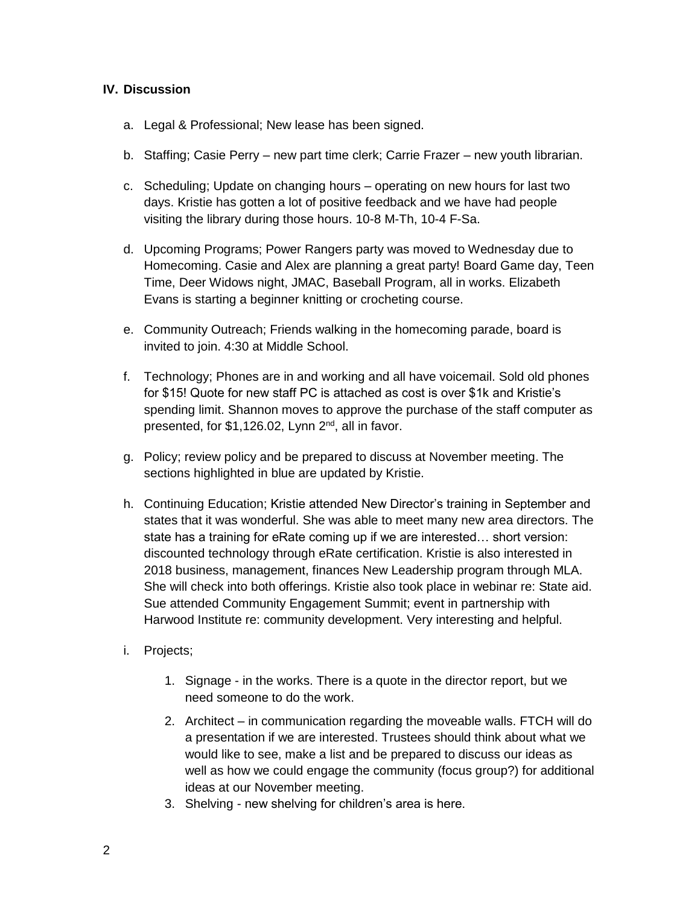## **IV. Discussion**

- a. Legal & Professional; New lease has been signed.
- b. Staffing; Casie Perry new part time clerk; Carrie Frazer new youth librarian.
- c. Scheduling; Update on changing hours operating on new hours for last two days. Kristie has gotten a lot of positive feedback and we have had people visiting the library during those hours. 10-8 M-Th, 10-4 F-Sa.
- d. Upcoming Programs; Power Rangers party was moved to Wednesday due to Homecoming. Casie and Alex are planning a great party! Board Game day, Teen Time, Deer Widows night, JMAC, Baseball Program, all in works. Elizabeth Evans is starting a beginner knitting or crocheting course.
- e. Community Outreach; Friends walking in the homecoming parade, board is invited to join. 4:30 at Middle School.
- f. Technology; Phones are in and working and all have voicemail. Sold old phones for \$15! Quote for new staff PC is attached as cost is over \$1k and Kristie's spending limit. Shannon moves to approve the purchase of the staff computer as presented, for \$1,126.02, Lynn 2<sup>nd</sup>, all in favor.
- g. Policy; review policy and be prepared to discuss at November meeting. The sections highlighted in blue are updated by Kristie.
- h. Continuing Education; Kristie attended New Director's training in September and states that it was wonderful. She was able to meet many new area directors. The state has a training for eRate coming up if we are interested… short version: discounted technology through eRate certification. Kristie is also interested in 2018 business, management, finances New Leadership program through MLA. She will check into both offerings. Kristie also took place in webinar re: State aid. Sue attended Community Engagement Summit; event in partnership with Harwood Institute re: community development. Very interesting and helpful.
- i. Projects;
	- 1. Signage in the works. There is a quote in the director report, but we need someone to do the work.
	- 2. Architect in communication regarding the moveable walls. FTCH will do a presentation if we are interested. Trustees should think about what we would like to see, make a list and be prepared to discuss our ideas as well as how we could engage the community (focus group?) for additional ideas at our November meeting.
	- 3. Shelving new shelving for children's area is here.